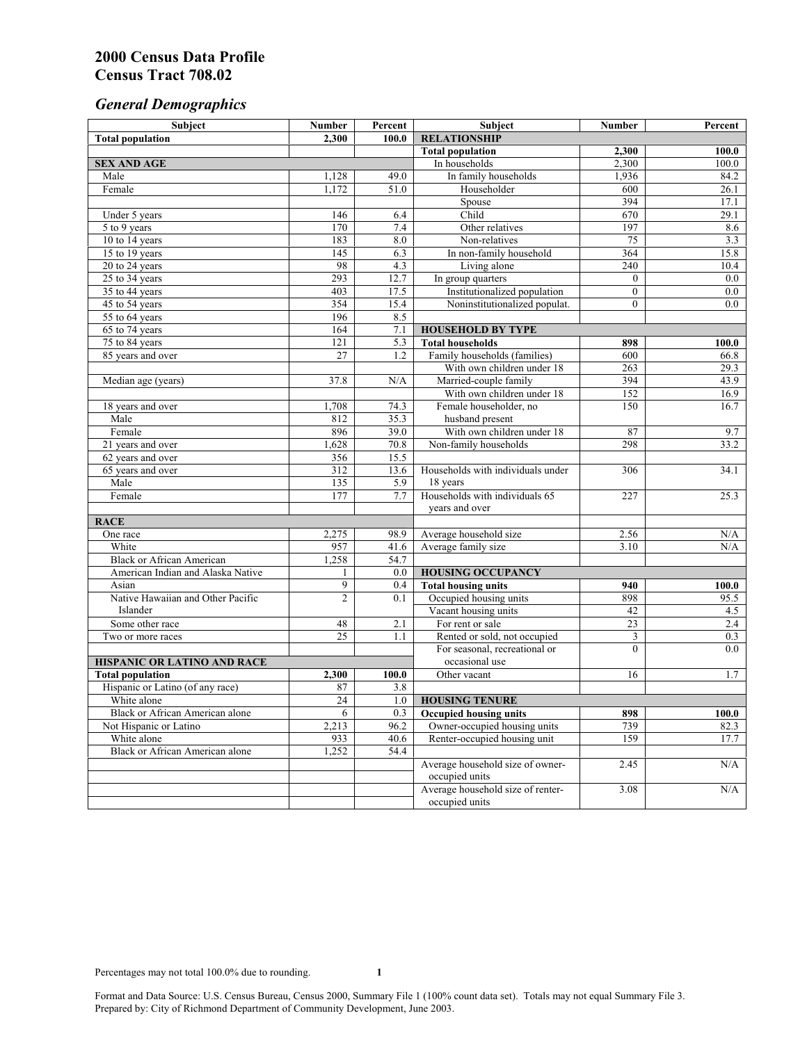# *General Demographics*

| Subject                           | <b>Number</b>          | Percent           | Subject                                                 | <b>Number</b>   | Percent      |
|-----------------------------------|------------------------|-------------------|---------------------------------------------------------|-----------------|--------------|
| <b>Total population</b>           | 2,300                  | 100.0             | <b>RELATIONSHIP</b>                                     |                 |              |
|                                   |                        |                   | <b>Total population</b>                                 | 2,300           | 100.0        |
| <b>SEX AND AGE</b>                |                        |                   | In households                                           | 2,300           | 100.0        |
| Male                              | 1,128                  | 49.0              | In family households                                    | 1,936           | 84.2         |
| Female                            | 1,172                  | 51.0              | Householder                                             | 600             | 26.1         |
|                                   |                        |                   | Spouse                                                  | 394             | 17.1         |
| Under 5 years                     | 146                    | 6.4               | Child                                                   | 670             | 29.1         |
| 5 to 9 years                      | 170                    | 7.4               | Other relatives                                         | 197             | 8.6          |
| 10 to 14 years                    | 183                    | 8.0               | Non-relatives                                           | 75              | 3.3          |
| 15 to 19 years                    | 145                    | 6.3               | In non-family household                                 | 364             | 15.8         |
| 20 to 24 years                    | 98                     | 4.3               | Living alone                                            | 240             | 10.4         |
| $25 \text{ to } 34$ years         | 293                    | 12.7              | In group quarters                                       | $\overline{0}$  | 0.0          |
| 35 to 44 years                    | 403                    | 17.5              | Institutionalized population                            | $\overline{0}$  | 0.0          |
| 45 to 54 years                    | 354                    | 15.4              | Noninstitutionalized populat.                           | $\overline{0}$  | 0.0          |
| 55 to 64 years                    | 196                    | 8.5               |                                                         |                 |              |
| 65 to 74 years                    | 164                    | 7.1               | <b>HOUSEHOLD BY TYPE</b>                                |                 |              |
| 75 to 84 years                    | 121<br>$\overline{27}$ | 5.3<br>1.2        | <b>Total households</b><br>Family households (families) | 898<br>600      | 100.0        |
| 85 years and over                 |                        |                   | With own children under 18                              | 263             | 66.8<br>29.3 |
|                                   | 37.8                   | N/A               | Married-couple family                                   | 394             | 43.9         |
| Median age (years)                |                        |                   | With own children under 18                              | 152             | 16.9         |
| 18 years and over                 | 1,708                  | 74.3              | Female householder, no                                  | 150             | 16.7         |
| Male                              | 812                    | 35.3              | husband present                                         |                 |              |
| Female                            | 896                    | 39.0              | With own children under 18                              | 87              | 9.7          |
| 21 years and over                 | 1,628                  | 70.8              | Non-family households                                   | 298             | 33.2         |
| 62 years and over                 | 356                    | 15.5              |                                                         |                 |              |
| 65 years and over                 | $\overline{312}$       | $13.\overline{6}$ | Households with individuals under                       | 306             | 34.1         |
| Male                              | 135                    | 5.9               | 18 years                                                |                 |              |
| Female                            | 177                    | 7.7               | Households with individuals 65                          | 227             | 25.3         |
|                                   |                        |                   | years and over                                          |                 |              |
| <b>RACE</b>                       |                        |                   |                                                         |                 |              |
| One race                          | 2,275                  | 98.9              | Average household size                                  | 2.56            | $\rm N/A$    |
| White                             | 957                    | 41.6              | Average family size                                     | 3.10            | N/A          |
| <b>Black or African American</b>  | 1,258                  | 54.7              |                                                         |                 |              |
| American Indian and Alaska Native | 1                      | 0.0               | <b>HOUSING OCCUPANCY</b>                                |                 |              |
| Asian                             | 9                      | 0.4               | <b>Total housing units</b>                              | 940             | 100.0        |
| Native Hawaiian and Other Pacific | $\overline{c}$         | 0.1               | Occupied housing units                                  | 898             | 95.5         |
| Islander                          |                        |                   | Vacant housing units                                    | 42              | 4.5          |
| Some other race                   | 48                     | 2.1               | For rent or sale                                        | $\overline{23}$ | 2.4          |
| Two or more races                 | $\overline{25}$        | 1.1               | Rented or sold, not occupied                            | 3               | 0.3          |
|                                   |                        |                   | For seasonal, recreational or                           | $\theta$        | 0.0          |
| HISPANIC OR LATINO AND RACE       |                        |                   | occasional use                                          |                 |              |
| <b>Total population</b>           | 2,300                  | 100.0             | Other vacant                                            | 16              | 1.7          |
| Hispanic or Latino (of any race)  | 87                     | 3.8               |                                                         |                 |              |
| White alone                       | $\overline{24}$        | 1.0               | <b>HOUSING TENURE</b>                                   |                 |              |
| Black or African American alone   | 6                      | 0.3               | <b>Occupied housing units</b>                           | 898             | 100.0        |
| Not Hispanic or Latino            | 2,213                  | 96.2              | Owner-occupied housing units                            | 739             | 82.3         |
| White alone                       | 933                    | 40.6              | Renter-occupied housing unit                            | 159             | 17.7         |
| Black or African American alone   | 1,252                  | 54.4              |                                                         |                 |              |
|                                   |                        |                   | Average household size of owner-                        | 2.45            | N/A          |
|                                   |                        |                   | occupied units                                          |                 |              |
|                                   |                        |                   | Average household size of renter-                       | 3.08            | N/A          |
|                                   |                        |                   | occupied units                                          |                 |              |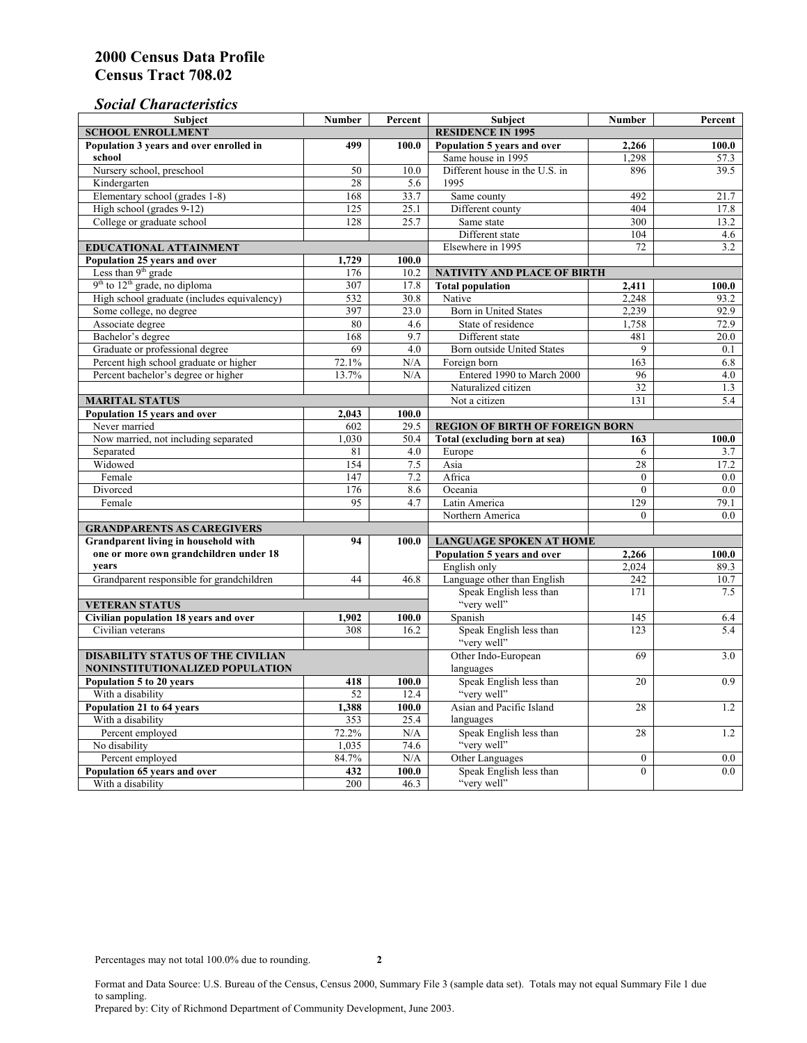# *Social Characteristics*

| <b>Subject</b>                                             | <b>Number</b>            | Percent       | Subject                                                                         | <b>Number</b>   | Percent    |
|------------------------------------------------------------|--------------------------|---------------|---------------------------------------------------------------------------------|-----------------|------------|
| <b>SCHOOL ENROLLMENT</b>                                   | <b>RESIDENCE IN 1995</b> |               |                                                                                 |                 |            |
| Population 3 years and over enrolled in                    | 499                      | 100.0         | Population 5 years and over                                                     | 2,266           | 100.0      |
| school                                                     |                          |               | Same house in 1995                                                              | 1,298           | 57.3       |
| Nursery school, preschool                                  | 50                       | 10.0          | Different house in the U.S. in                                                  | 896             | 39.5       |
| Kindergarten                                               | 28                       | 5.6           | 1995                                                                            |                 |            |
| Elementary school (grades 1-8)                             | 168                      | 33.7          | Same county                                                                     | 492             | 21.7       |
| High school (grades 9-12)                                  | 125                      | 25.1          | Different county                                                                | 404             | 17.8       |
| College or graduate school                                 | 128                      | 25.7          | Same state                                                                      | 300             | 13.2       |
|                                                            |                          |               | Different state                                                                 | 104             | 4.6        |
| <b>EDUCATIONAL ATTAINMENT</b>                              |                          |               | Elsewhere in 1995                                                               | 72              | 3.2        |
| Population 25 years and over                               | 1,729                    | 100.0         |                                                                                 |                 |            |
| Less than 9 <sup>th</sup> grade                            | 176                      | 10.2          | NATIVITY AND PLACE OF BIRTH                                                     |                 |            |
| $9th$ to $12th$ grade, no diploma                          | 307                      | 17.8          | <b>Total population</b>                                                         | 2,411           | 100.0      |
| High school graduate (includes equivalency)                | 532                      | 30.8          | Native                                                                          | 2.248           | 93.2       |
| Some college, no degree                                    | 397                      | 23.0          | Born in United States                                                           | 2,239           | 92.9       |
| Associate degree                                           | 80                       | 4.6           | State of residence                                                              | 1,758           | 72.9       |
| Bachelor's degree                                          | 168                      | 9.7           | Different state                                                                 | 481             | 20.0       |
| Graduate or professional degree                            | 69                       | 4.0           | <b>Born outside United States</b>                                               | 9               | 0.1        |
| Percent high school graduate or higher                     | 72.1%                    | N/A           | Foreign born                                                                    | 163             | 6.8        |
| Percent bachelor's degree or higher                        | 13.7%                    | N/A           | Entered 1990 to March 2000                                                      | 96              | 4.0        |
|                                                            |                          |               | Naturalized citizen                                                             | $\overline{32}$ | 1.3        |
| <b>MARITAL STATUS</b>                                      |                          |               | Not a citizen                                                                   | 131             | 5.4        |
| Population 15 years and over                               | 2.043                    | 100.0         |                                                                                 |                 |            |
| Never married                                              | 602                      | 29.5          | <b>REGION OF BIRTH OF FOREIGN BORN</b>                                          |                 |            |
| Now married, not including separated                       | 1,030                    | 50.4          | Total (excluding born at sea)                                                   | 163             | 100.0      |
| Separated                                                  | 81                       | 4.0           | Europe                                                                          | 6               | 3.7        |
| Widowed                                                    | 154                      | 7.5           | Asia                                                                            | 28              | 17.2       |
| Female                                                     | 147                      | 7.2           | Africa                                                                          | $\Omega$        | $0.0\,$    |
| Divorced                                                   | 176                      | 8.6           | Oceania                                                                         | $\theta$        | 0.0        |
| Female                                                     | 95                       | 4.7           | Latin America                                                                   | 129             | 79.1       |
|                                                            |                          |               | Northern America                                                                | $\theta$        | 0.0        |
| <b>GRANDPARENTS AS CAREGIVERS</b>                          |                          |               |                                                                                 |                 |            |
| <b>Grandparent living in household with</b><br>94          |                          | 100.0         | <b>LANGUAGE SPOKEN AT HOME</b><br>Population 5 years and over<br>2.266<br>100.0 |                 |            |
| one or more own grandchildren under 18<br>years            |                          |               |                                                                                 |                 |            |
|                                                            | 44                       |               | English only                                                                    | 2,024           | 89.3       |
| Grandparent responsible for grandchildren                  |                          | 46.8          | Language other than English<br>Speak English less than                          | 242<br>171      | 10.7       |
|                                                            |                          |               | "very well"                                                                     |                 | 7.5        |
| <b>VETERAN STATUS</b>                                      |                          |               | Spanish                                                                         | 145             |            |
| Civilian population 18 years and over<br>Civilian veterans | 1,902<br>308             | 100.0<br>16.2 | Speak English less than                                                         | 123             | 6.4<br>5.4 |
|                                                            |                          |               | "very well"                                                                     |                 |            |
| <b>DISABILITY STATUS OF THE CIVILIAN</b>                   | Other Indo-European      | 69            | 3.0                                                                             |                 |            |
| NONINSTITUTIONALIZED POPULATION                            | languages                |               |                                                                                 |                 |            |
| Population 5 to 20 years                                   | 418                      | 100.0         | Speak English less than                                                         | 20              | 0.9        |
| With a disability                                          | 52                       | 12.4          | "very well"                                                                     |                 |            |
| Population 21 to 64 years                                  | 1,388                    | 100.0         | Asian and Pacific Island                                                        | 28              | 1.2        |
| With a disability                                          | 353                      | 25.4          | languages                                                                       |                 |            |
| Percent employed                                           | 72.2%                    | N/A           | Speak English less than                                                         | 28              | 1.2        |
| No disability                                              | 1,035                    | 74.6          | "very well"                                                                     |                 |            |
| Percent employed                                           | 84.7%                    | N/A           | Other Languages                                                                 | $\mathbf{0}$    | $0.0\,$    |
| Population 65 years and over                               | 432                      | 100.0         | Speak English less than                                                         | $\overline{0}$  | 0.0        |
| With a disability                                          | 200                      | 46.3          | "very well"                                                                     |                 |            |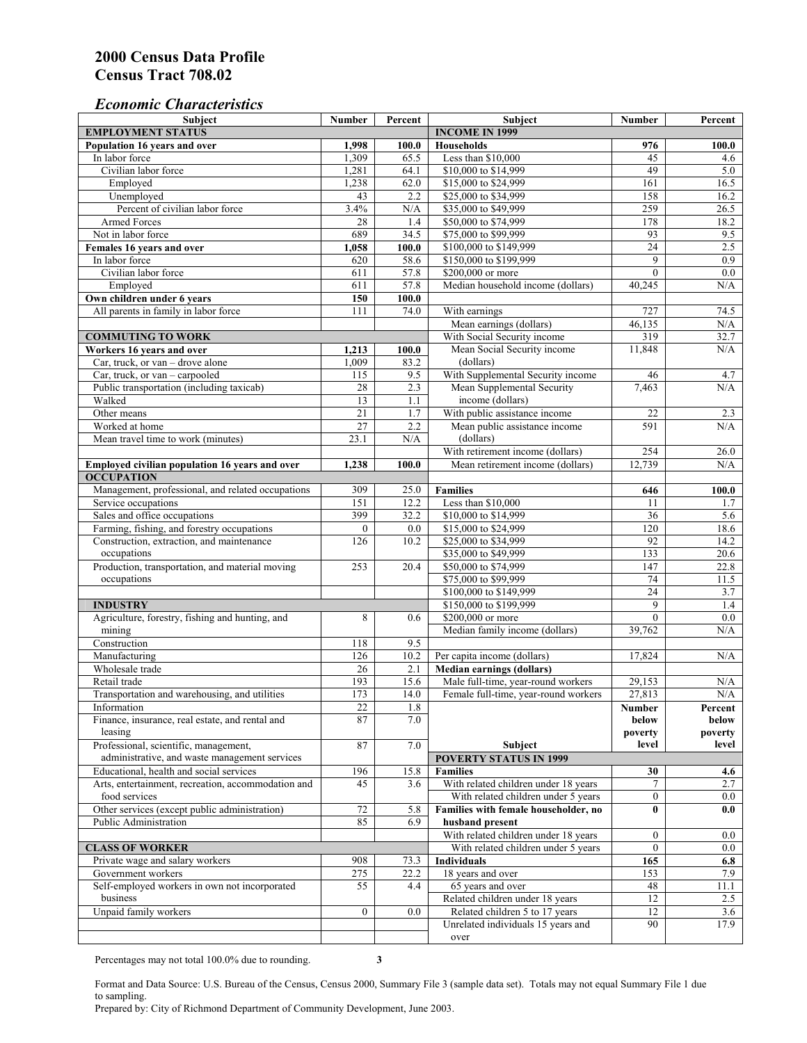### *Economic Characteristics*

| <b>Subject</b>                                     | Number          | Percent          | Subject                                                              | Number          | Percent    |
|----------------------------------------------------|-----------------|------------------|----------------------------------------------------------------------|-----------------|------------|
| <b>EMPLOYMENT STATUS</b>                           |                 |                  | <b>INCOME IN 1999</b>                                                |                 |            |
| Population 16 years and over                       | 1,998           | 100.0            | <b>Households</b>                                                    | 976             | 100.0      |
| In labor force                                     | 1,309           | 65.5             | Less than \$10,000                                                   | 45              | 4.6        |
| Civilian labor force                               | 1,281           | 64.1             | \$10,000 to \$14,999                                                 | 49              | 5.0        |
| Employed                                           | 1,238           | 62.0             | \$15,000 to \$24,999                                                 | 161             | 16.5       |
| Unemployed                                         | 43              | 2.2              | \$25,000 to \$34,999                                                 | 158             | 16.2       |
| Percent of civilian labor force                    | 3.4%            | N/A              | \$35,000 to \$49,999                                                 | 259             | 26.5       |
| Armed Forces                                       | 28              | 1.4              | \$50,000 to \$74,999                                                 | 178             | 18.2       |
| Not in labor force                                 | 689             | 34.5             | \$75,000 to \$99,999                                                 | 93              | 9.5        |
| Females 16 years and over                          | 1,058           | 100.0            | \$100,000 to \$149,999                                               | $\overline{24}$ | 2.5        |
| In labor force                                     | 620             | 58.6             | \$150,000 to \$199,999                                               | 9               | 0.9        |
| Civilian labor force                               | 611             | 57.8             | \$200,000 or more                                                    | $\mathbf{0}$    | 0.0        |
| Employed                                           | 611             | 57.8             | Median household income (dollars)                                    | 40,245          | N/A        |
| Own children under 6 years                         | 150             | 100.0            |                                                                      |                 |            |
| All parents in family in labor force               | 111             | 74.0             | With earnings                                                        | 727             | 74.5       |
|                                                    |                 |                  | Mean earnings (dollars)                                              | 46,135          | N/A        |
| <b>COMMUTING TO WORK</b>                           |                 |                  | With Social Security income                                          | 319             | 32.7       |
| Workers 16 years and over                          | 1,213           | 100.0            | Mean Social Security income                                          | 11,848          | N/A        |
| Car, truck, or van – drove alone                   | 1.009           | 83.2             | (dollars)                                                            |                 |            |
| Car, truck, or van - carpooled                     | 115             | 9.5              | With Supplemental Security income                                    | 46              | 4.7        |
| Public transportation (including taxicab)          | 28              | 2.3              | Mean Supplemental Security                                           | 7,463           | N/A        |
| Walked                                             | 13              | 1.1              | income (dollars)                                                     |                 |            |
| Other means                                        | $\overline{21}$ | 1.7              | With public assistance income                                        | 22              | 2.3        |
| Worked at home                                     | $\overline{27}$ | $\overline{2.2}$ | Mean public assistance income                                        | 591             | N/A        |
| Mean travel time to work (minutes)                 | 23.1            | N/A              | (dollars)                                                            |                 |            |
|                                                    |                 |                  | With retirement income (dollars)                                     | 254             | 26.0       |
| Employed civilian population 16 years and over     | 1,238           | 100.0            | Mean retirement income (dollars)                                     | 12,739          | N/A        |
| <b>OCCUPATION</b>                                  |                 |                  |                                                                      |                 |            |
| Management, professional, and related occupations  | 309             | 25.0             | <b>Families</b>                                                      | 646             | 100.0      |
| Service occupations                                | 151             | 12.2             | Less than \$10,000                                                   | 11              | 1.7        |
| Sales and office occupations                       | 399             | 32.2             | \$10,000 to \$14,999                                                 | 36              | 5.6        |
| Farming, fishing, and forestry occupations         | $\mathbf{0}$    | 0.0              | \$15,000 to \$24,999                                                 | 120             | 18.6       |
| Construction, extraction, and maintenance          | 126             | 10.2             | \$25,000 to \$34,999                                                 | 92              | 14.2       |
| occupations                                        |                 |                  | \$35,000 to \$49,999                                                 | 133             | 20.6       |
| Production, transportation, and material moving    | 253             | 20.4             | \$50,000 to \$74,999                                                 | 147             | 22.8       |
| occupations                                        |                 |                  | \$75,000 to \$99,999                                                 | 74              | 11.5       |
|                                                    |                 |                  | \$100,000 to \$149,999                                               | 24              | 3.7        |
| <b>INDUSTRY</b>                                    |                 |                  | \$150,000 to \$199,999                                               | 9               | 1.4        |
| Agriculture, forestry, fishing and hunting, and    | 8               | 0.6              | \$200,000 or more                                                    | $\theta$        | 0.0        |
| mining                                             |                 |                  | Median family income (dollars)                                       | 39,762          | N/A        |
| Construction                                       | 118             | 9.5              |                                                                      |                 |            |
| Manufacturing                                      | 126             | 10.2             | Per capita income (dollars)                                          | 17,824          | N/A        |
| Wholesale trade                                    | 26              | 2.1              | <b>Median earnings (dollars)</b>                                     |                 |            |
| Retail trade                                       | 193             | 15.6             | Male full-time, year-round workers                                   | 29,153          | N/A        |
| Transportation and warehousing, and utilities      | 173             | 14.0             | Female full-time, year-round workers                                 | 27,813          | N/A        |
| Information                                        | 22              | 1.8              |                                                                      | Number          | Percent    |
| Finance, insurance, real estate, and rental and    | 87              | 7.0              |                                                                      | below           | below      |
| leasing                                            |                 |                  |                                                                      | poverty         | poverty    |
| Professional, scientific, management,              | 87              | 7.0              | Subject                                                              | level           | level      |
| administrative, and waste management services      |                 |                  | <b>POVERTY STATUS IN 1999</b>                                        |                 |            |
| Educational, health and social services            | 196             | 15.8             | <b>Families</b>                                                      | 30              | 4.6        |
| Arts, entertainment, recreation, accommodation and | 45              | 3.6              | With related children under 18 years                                 |                 | 2.7        |
| food services                                      |                 |                  | With related children under 5 years                                  | $\mathbf{0}$    | $0.0\,$    |
| Other services (except public administration)      | 72              | 5.8              | Families with female householder, no                                 | $\bf{0}$        | 0.0        |
| Public Administration                              | 85              | 6.9              | husband present                                                      |                 |            |
|                                                    |                 |                  | With related children under 18 years                                 | $\mathbf{0}$    | $0.0\,$    |
| <b>CLASS OF WORKER</b>                             |                 |                  | With related children under 5 years                                  | $\overline{0}$  | $0.0\,$    |
| Private wage and salary workers                    | 908             | 73.3             | <b>Individuals</b>                                                   | 165             | 6.8        |
| Government workers                                 | 275             | 22.2             | 18 years and over                                                    | 153             | 7.9        |
| Self-employed workers in own not incorporated      | 55              | 4.4              | 65 years and over                                                    | 48              | 11.1       |
| business                                           |                 |                  | Related children under 18 years                                      | 12              |            |
| Unpaid family workers                              | $\mathbf{0}$    |                  |                                                                      | 12              | 2.5<br>3.6 |
|                                                    |                 | 0.0              | Related children 5 to 17 years<br>Unrelated individuals 15 years and | 90              | 17.9       |
|                                                    |                 |                  |                                                                      |                 |            |
|                                                    |                 |                  | over                                                                 |                 |            |

Percentages may not total 100.0% due to rounding. **3** 

Format and Data Source: U.S. Bureau of the Census, Census 2000, Summary File 3 (sample data set). Totals may not equal Summary File 1 due to sampling.

Prepared by: City of Richmond Department of Community Development, June 2003.